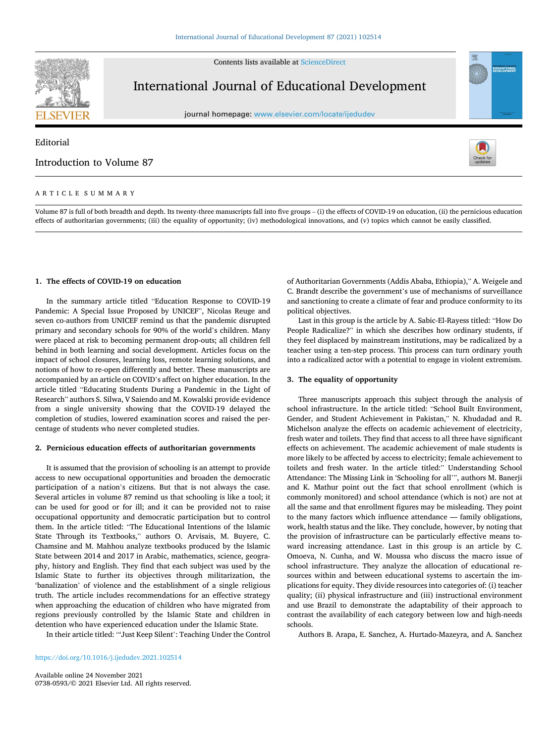

Contents lists available at [ScienceDirect](www.sciencedirect.com/science/journal/07380593)

# International Journal of Educational Development

journal homepage: [www.elsevier.com/locate/ijedudev](https://www.elsevier.com/locate/ijedudev)

# Editorial

# Introduction to Volume 87



EDUCATIONA

## ARTICLE SUMMARY

Volume 87 is full of both breadth and depth. Its twenty-three manuscripts fall into five groups – (i) the effects of COVID-19 on education, (ii) the pernicious education effects of authoritarian governments; (iii) the equality of opportunity; (iv) methodological innovations, and (v) topics which cannot be easily classified.

# **1. The effects of COVID-19 on education**

In the summary article titled "Education Response to COVID-19 Pandemic: A Special Issue Proposed by UNICEF", Nicolas Reuge and seven co-authors from UNICEF remind us that the pandemic disrupted primary and secondary schools for 90% of the world's children. Many were placed at risk to becoming permanent drop-outs; all children fell behind in both learning and social development. Articles focus on the impact of school closures, learning loss, remote learning solutions, and notions of how to re-open differently and better. These manuscripts are accompanied by an article on COVID's affect on higher education. In the article titled "Educating Students During a Pandemic in the Light of Research" authors S. Silwa, V Saiendo and M. Kowalski provide evidence from a single university showing that the COVID-19 delayed the completion of studies, lowered examination scores and raised the percentage of students who never completed studies.

## **2. Pernicious education effects of authoritarian governments**

It is assumed that the provision of schooling is an attempt to provide access to new occupational opportunities and broaden the democratic participation of a nation's citizens. But that is not always the case. Several articles in volume 87 remind us that schooling is like a tool; it can be used for good or for ill; and it can be provided not to raise occupational opportunity and democratic participation but to control them. In the article titled: "The Educational Intentions of the Islamic State Through its Textbooks," authors O. Arvisais, M. Buyere, C. Chamsine and M. Mahhou analyze textbooks produced by the Islamic State between 2014 and 2017 in Arabic, mathematics, science, geography, history and English. They find that each subject was used by the Islamic State to further its objectives through militarization, the 'banalization' of violence and the establishment of a single religious truth. The article includes recommendations for an effective strategy when approaching the education of children who have migrated from regions previously controlled by the Islamic State and children in detention who have experienced education under the Islamic State.

In their article titled: "'Just Keep Silent': Teaching Under the Control

<https://doi.org/10.1016/j.ijedudev.2021.102514>

Available online 24 November 2021 0738-0593/© 2021 Elsevier Ltd. All rights reserved. of Authoritarian Governments (Addis Ababa, Ethiopia)," A. Weigele and C. Brandt describe the government's use of mechanisms of surveillance and sanctioning to create a climate of fear and produce conformity to its political objectives.

Last in this group is the article by A. Sabic-El-Rayess titled: "How Do People Radicalize?" in which she describes how ordinary students, if they feel displaced by mainstream institutions, may be radicalized by a teacher using a ten-step process. This process can turn ordinary youth into a radicalized actor with a potential to engage in violent extremism.

## **3. The equality of opportunity**

Three manuscripts approach this subject through the analysis of school infrastructure. In the article titled: "School Built Environment, Gender, and Student Achievement in Pakistan," N. Khudadad and R. Michelson analyze the effects on academic achievement of electricity, fresh water and toilets. They find that access to all three have significant effects on achievement. The academic achievement of male students is more likely to be affected by access to electricity; female achievement to toilets and fresh water. In the article titled:" Understanding School Attendance: The Missing Link in 'Schooling for all'", authors M. Banerji and K. Mathur point out the fact that school enrollment (which is commonly monitored) and school attendance (which is not) are not at all the same and that enrollment figures may be misleading. They point to the many factors which influence attendance — family obligations, work, health status and the like. They conclude, however, by noting that the provision of infrastructure can be particularly effective means toward increasing attendance. Last in this group is an article by C. Omoeva, N. Cunha, and W. Moussa who discuss the macro issue of school infrastructure. They analyze the allocation of educational resources within and between educational systems to ascertain the implications for equity. They divide resources into categories of: (i) teacher quality; (ii) physical infrastructure and (iii) instructional environment and use Brazil to demonstrate the adaptability of their approach to contrast the availability of each category between low and high-needs schools.

Authors B. Arapa, E. Sanchez, A. Hurtado-Mazeyra, and A. Sanchez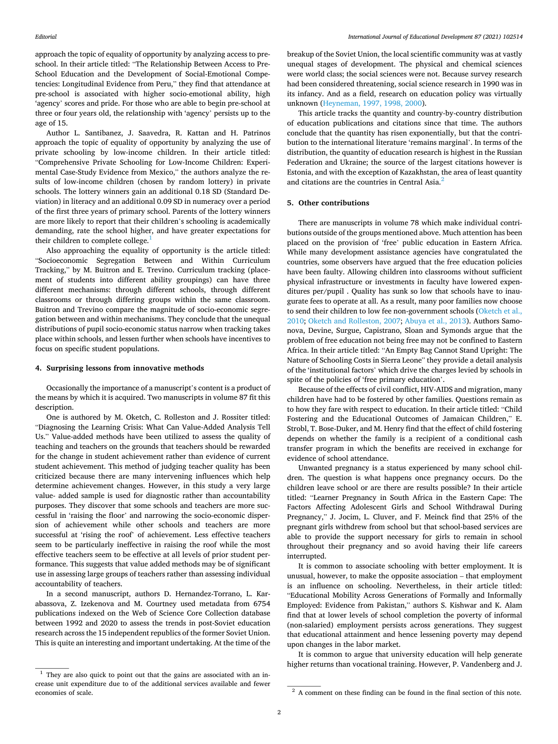approach the topic of equality of opportunity by analyzing access to preschool. In their article titled: "The Relationship Between Access to Pre-School Education and the Development of Social-Emotional Competencies: Longitudinal Evidence from Peru," they find that attendance at pre-school is associated with higher socio-emotional ability, high 'agency' scores and pride. For those who are able to begin pre-school at three or four years old, the relationship with 'agency' persists up to the age of 15.

Author L. Santibanez, J. Saavedra, R. Kattan and H. Patrinos approach the topic of equality of opportunity by analyzing the use of private schooling by low-income children. In their article titled: "Comprehensive Private Schooling for Low-Income Children: Experimental Case-Study Evidence from Mexico," the authors analyze the results of low-income children (chosen by random lottery) in private schools. The lottery winners gain an additional 0.18 SD (Standard Deviation) in literacy and an additional 0.09 SD in numeracy over a period of the first three years of primary school. Parents of the lottery winners are more likely to report that their children's schooling is academically demanding, rate the school higher, and have greater expectations for their children to complete college.<sup>1</sup>

Also approaching the equality of opportunity is the article titled: "Socioeconomic Segregation Between and Within Curriculum Tracking," by M. Buitron and E. Trevino. Curriculum tracking (placement of students into different ability groupings) can have three different mechanisms: through different schools, through different classrooms or through differing groups within the same classroom. Buitron and Trevino compare the magnitude of socio-economic segregation between and within mechanisms. They conclude that the unequal distributions of pupil socio-economic status narrow when tracking takes place within schools, and lessen further when schools have incentives to focus on specific student populations.

#### **4. Surprising lessons from innovative methods**

Occasionally the importance of a manuscript's content is a product of the means by which it is acquired. Two manuscripts in volume 87 fit this description.

One is authored by M. Oketch, C. Rolleston and J. Rossiter titled: "Diagnosing the Learning Crisis: What Can Value-Added Analysis Tell Us." Value-added methods have been utilized to assess the quality of teaching and teachers on the grounds that teachers should be rewarded for the change in student achievement rather than evidence of current student achievement. This method of judging teacher quality has been criticized because there are many intervening influences which help determine achievement changes. However, in this study a very large value- added sample is used for diagnostic rather than accountability purposes. They discover that some schools and teachers are more successful in 'raising the floor' and narrowing the socio-economic dispersion of achievement while other schools and teachers are more successful at 'rising the roof' of achievement. Less effective teachers seem to be particularly ineffective in raising the roof while the most effective teachers seem to be effective at all levels of prior student performance. This suggests that value added methods may be of significant use in assessing large groups of teachers rather than assessing individual accountability of teachers.

In a second manuscript, authors D. Hernandez-Torrano, L. Karabassova, Z. Izekenova and M. Courtney used metadata from 6754 publications indexed on the Web of Science Core Collection database between 1992 and 2020 to assess the trends in post-Soviet education research across the 15 independent republics of the former Soviet Union. This is quite an interesting and important undertaking. At the time of the

crease unit expenditure due to of the additional services available and fewer economies of scale. 2 A comment on these finding can be found in the final section of this note.

breakup of the Soviet Union, the local scientific community was at vastly unequal stages of development. The physical and chemical sciences were world class; the social sciences were not. Because survey research had been considered threatening, social science research in 1990 was in its infancy. And as a field, research on education policy was virtually unknown ([Heyneman, 1997, 1998, 2000](#page-2-0)).

This article tracks the quantity and country-by-country distribution of education publications and citations since that time. The authors conclude that the quantity has risen exponentially, but that the contribution to the international literature 'remains marginal'. In terms of the distribution, the quantity of education research is highest in the Russian Federation and Ukraine; the source of the largest citations however is Estonia, and with the exception of Kazakhstan, the area of least quantity and citations are the countries in Central Asia.<sup>2</sup>

#### **5. Other contributions**

There are manuscripts in volume 78 which make individual contributions outside of the groups mentioned above. Much attention has been placed on the provision of 'free' public education in Eastern Africa. While many development assistance agencies have congratulated the countries, some observers have argued that the free education policies have been faulty. Allowing children into classrooms without sufficient physical infrastructure or investments in faculty have lowered expenditures per/pupil . Quality has sunk so low that schools have to inaugurate fees to operate at all. As a result, many poor families now choose to send their children to low fee non-government schools [\(Oketch et al.,](#page-2-0)  [2010; Oketch and Rolleston, 2007; Abuya et al., 2013\)](#page-2-0). Authors Samonova, Devine, Surgue, Capistrano, Sloan and Symonds argue that the problem of free education not being free may not be confined to Eastern Africa. In their article titled: "An Empty Bag Cannot Stand Upright: The Nature of Schooling Costs in Sierra Leone" they provide a detail analysis of the 'institutional factors' which drive the charges levied by schools in spite of the policies of 'free primary education'.

Because of the effects of civil conflict, HIV-AIDS and migration, many children have had to be fostered by other families. Questions remain as to how they fare with respect to education. In their article titled: "Child Fostering and the Educational Outcomes of Jamaican Children," E. Strobl, T. Bose-Duker, and M. Henry find that the effect of child fostering depends on whether the family is a recipient of a conditional cash transfer program in which the benefits are received in exchange for evidence of school attendance.

Unwanted pregnancy is a status experienced by many school children. The question is what happens once pregnancy occurs. Do the children leave school or are there are results possible? In their article titled: "Learner Pregnancy in South Africa in the Eastern Cape: The Factors Affecting Adolescent Girls and School Withdrawal During Pregnancy," J. Jocim, L. Cluver, and F. Meinck find that 25% of the pregnant girls withdrew from school but that school-based services are able to provide the support necessary for girls to remain in school throughout their pregnancy and so avoid having their life careers interrupted.

It is common to associate schooling with better employment. It is unusual, however, to make the opposite association – that employment is an influence on schooling. Nevertheless, in their article titled: "Educational Mobility Across Generations of Formally and Informally Employed: Evidence from Pakistan," authors S. Kishwar and K. Alam find that at lower levels of school completion the poverty of informal (non-salaried) employment persists across generations. They suggest that educational attainment and hence lessening poverty may depend upon changes in the labor market.

It is common to argue that university education will help generate higher returns than vocational training. However, P. Vandenberg and J.  $\frac{1}{1}$  They are also quick to point out that the gains are associated with an in-